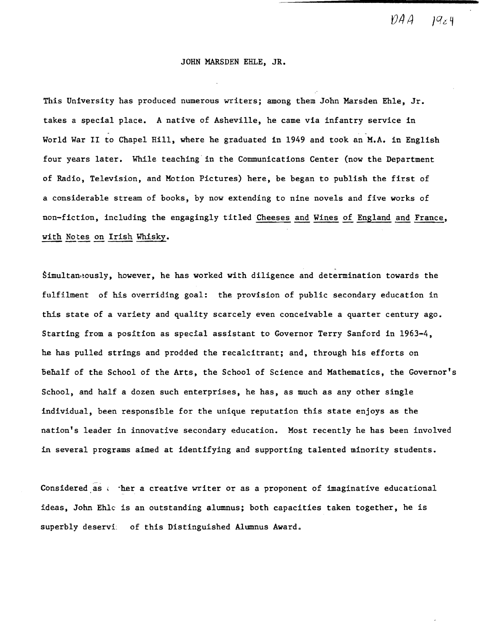$\mathcal{D}AA - \mathcal{Q}_Z\mathcal{q}$ 

# JOHN MARSDEN EHLE, JR.

This University has produced numerous writers; among them John Marsden Ehle, Jr. takes a special place. A native of Asheville, he came via infantry service in World War II to Chapel Hill, where he graduated in 1949 and took an M.A. in English four years later. While teaching in the Communications Center (now the Department of Radio, Television, and Motion Pictures) here, be began to publish the first of a considerable stream of books, by now extending to nine novels and five works of non-fiction, including the engagingly titled Cheeses and Wines of England and France, with Notes on Irish Whisky.

Simultaneously, however, he has worked with diligence and determination towards the fulfilment of his overriding goal: the provision of public secondary education in this state of a variety and quality scarcely even conceivable a quarter century ago. Starting from a position as special assistant to Governor Terry Sanford in 1963-4, he has pulled strings and prodded the recalcitrant; and, through his efforts on Denalf of the School of the Arts, the School of Science and Mathematics, the Governor's School, and half a dozen such enterprises, he has, as much as any other single individual, been responsible for the unique reputation this state enjoys as the nation's leader in innovative secondary education. Most recently he has been involved in several programs aimed at identifying and supporting talented minority students.

Considered as  $\cdot$  -her a creative writer or as a proponent of imaginative educational ideas, John Ehlc is an outstanding alumnus; both capacities taken together, he is superbly deservi: of this Distinguished Alumnus Award.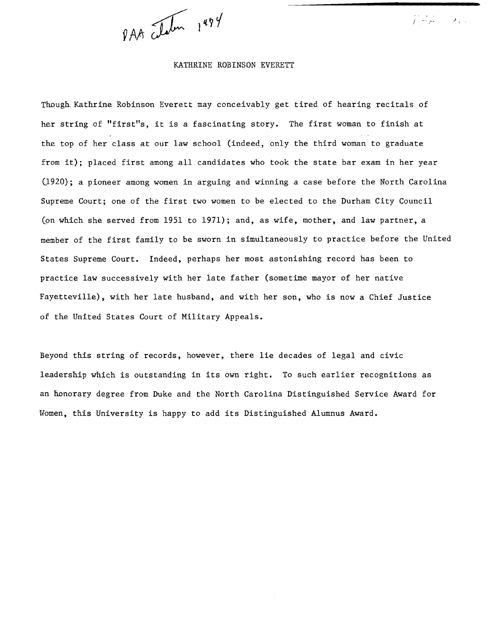PAA clatin 1994

## KATHRINE ROBINSON EVERETT

J,

Though Kathrine Robinson Everett may conceivably get tired of hearing recitals of her string of "first"s, it is a fascinating story. The first woman to finish at the top of her class at our law school (indeed, only the third woman to graduate from it); placed first among all candidates who took the state bar exam in her year (1920); a pioneer among women in arguing and winning a case before the North Carolina Supreme Court; one of the first two women to be elected to the Durham City Council (on which she served from 1951 to 1971); and, as wife, mother, and law partner, a member of the first family to be sworn in simultaneously to practice before the United States Supreme Court. Indeed, perhaps her most astonishing record has been to practice law successively with her late father (sometime mayor of her native Fayetteville), with her late husband, and with her son, who is now a Chief Justice of the United States Court of Military Appeals.

Beyond this string of records, however, there lie decades of legal and civic leadership which is outstanding in its own right. To such earlier recognitions as an honorary degree from Duke and the North Carolina Distinguished Service Award for Women, this University is happy to add its Distinguished Alumnus Award.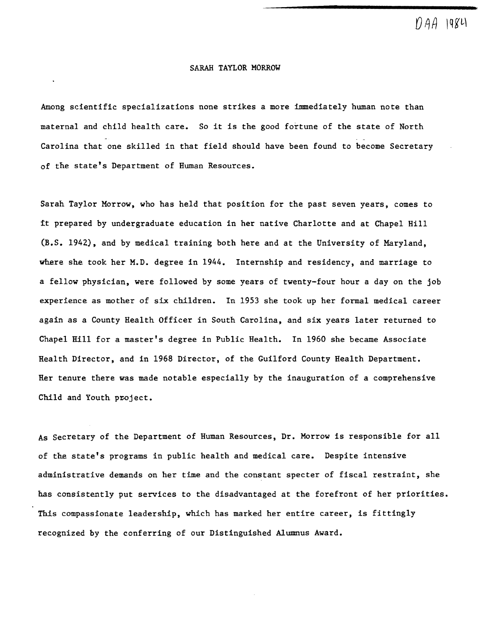$|Q\angle U|$ 

# SARAH TAYLOR MORROW

Among scientific specializations none strikes a more immediately human note than maternal and child health care. So it is the good fortune of the state of North Carolina that one skilled in that field should have been found to become Secretary of the state's Department of Human Resources.

Sarah Taylor Morrow, who has held that position for the past seven years, comes to it prepared by undergraduate education in her native Charlotte and at Chapel Hill (B.S. 1942), and by medical training both here and at the University of Maryland, where she took her M.D. degree in 1944. Internship and residency, and marriage to a fellow physician, were followed by some years of twenty-four hour a day on the job experience as mother of six children. In 1953 she took up her formal medical career again as a County Health Officer in South Carolina, and six years later returned to Chapel Hill for a master's degree in Public Health. In 1960 she became Associate Health Director, and in 1968 Director, of the Guilford County Health Department. Her tenure there was made notable especially by the inauguration of a comprehensive Child and Youth project.

As Secretary of the Department of Human Resources, Dr. Morrow is responsible for all of the state's programs in public health and medical care. Despite intensive administrative demands on her time and the constant specter of fiscal restraint, she has consistently put services to the disadvantaged at the forefront of her priorities. This compassionate leadership, which has marked her entire career, is fittingly recognized by the conferring of our Distinguished Alumnus Award.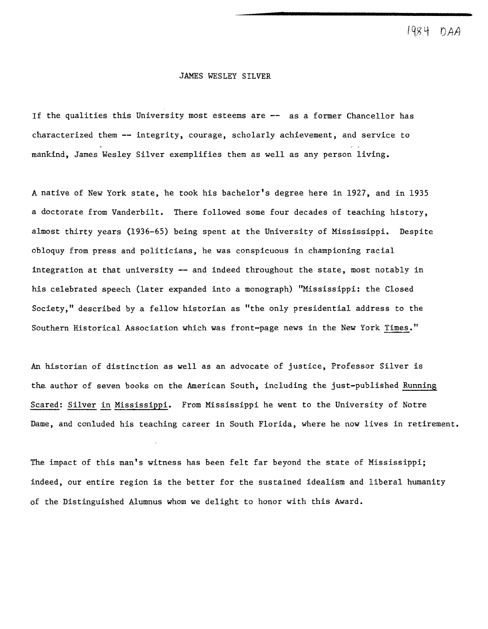1984 N A A

## JAMES WESLEY SILVER

If the qualities this University most esteems are **--** as a former Chancellor has characterized them **--** integrity, courage, scholarly achievement, and service to mankind, James Wesley Silver exemplifies them as well as any person living.

A native of New York state, he took his bachelor's degree here in 1927, and in 1935 a doctorate from Vanderbilt. There followed some four decades of teaching history, almost thirty years (1936-65) being spent at the University of Mississippi. Despite obloquy from press and politicians, he was conspicuous in championing racial integration at that university **--** and indeed throughout the state, most notably in his celebrated speech (later expanded into a monograph) "Mississippi: the Closed Society," described by a fellow historian as "the only presidential address to the Southern Historical Association which was front-page news in the New York Times."

An historian of distinction as well as an advocate of justice, Professor Silver is the author of seven books on the American South, including the just-published Running Scared: Silver in Mississippi. From Mississippi he went to the University of Notre Dame, and conluded his teaching career in South Florida, where he now lives in retirement.

The impact of this man's witness has been felt far beyond the state of Mississippi; indeed, our entire region is the better for the sustained idealism and liberal humanity of the Distinguished Alumnus whom we delight to honor with this Award.